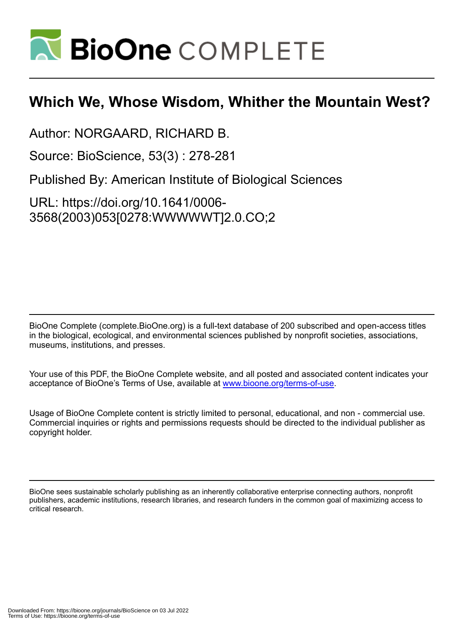

## **Which We, Whose Wisdom, Whither the Mountain West?**

Author: NORGAARD, RICHARD B.

Source: BioScience, 53(3) : 278-281

Published By: American Institute of Biological Sciences

URL: https://doi.org/10.1641/0006- 3568(2003)053[0278:WWWWWT]2.0.CO;2

BioOne Complete (complete.BioOne.org) is a full-text database of 200 subscribed and open-access titles in the biological, ecological, and environmental sciences published by nonprofit societies, associations, museums, institutions, and presses.

Your use of this PDF, the BioOne Complete website, and all posted and associated content indicates your acceptance of BioOne's Terms of Use, available at www.bioone.org/terms-of-use.

Usage of BioOne Complete content is strictly limited to personal, educational, and non - commercial use. Commercial inquiries or rights and permissions requests should be directed to the individual publisher as copyright holder.

BioOne sees sustainable scholarly publishing as an inherently collaborative enterprise connecting authors, nonprofit publishers, academic institutions, research libraries, and research funders in the common goal of maximizing access to critical research.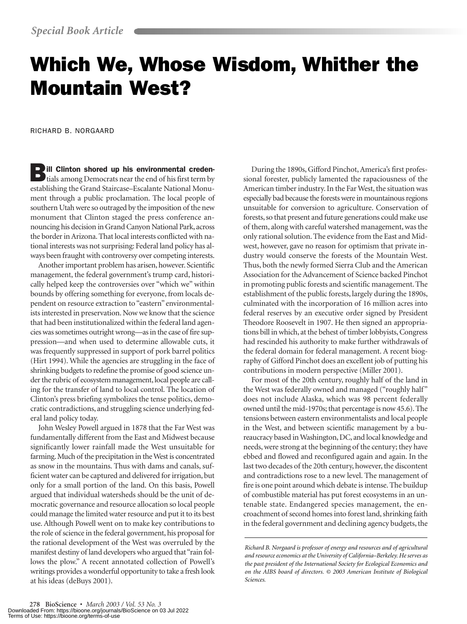# Which We, Whose Wisdom, Whither the Mountain West?

RICHARD B. NORGAARD

**B**ill Clinton shored up his environmental credentials among Democrats near the end of his first term by establishing the Grand Staircase–Escalante National Monument through a public proclamation. The local people of southern Utah were so outraged by the imposition of the new monument that Clinton staged the press conference announcing his decision in Grand Canyon National Park, across the border in Arizona. That local interests conflicted with national interests was not surprising: Federal land policy has always been fraught with controversy over competing interests.

Another important problem has arisen, however. Scientific management, the federal government's trump card, historically helped keep the controversies over "which we" within bounds by offering something for everyone, from locals dependent on resource extraction to "eastern" environmentalists interested in preservation. Now we know that the science that had been institutionalized within the federal land agencies was sometimes outright wrong—as in the case of fire suppression—and when used to determine allowable cuts, it was frequently suppressed in support of pork barrel politics (Hirt 1994). While the agencies are struggling in the face of shrinking budgets to redefine the promise of good science under the rubric of ecosystem management, local people are calling for the transfer of land to local control. The location of Clinton's press briefing symbolizes the tense politics, democratic contradictions, and struggling science underlying federal land policy today.

John Wesley Powell argued in 1878 that the Far West was fundamentally different from the East and Midwest because significantly lower rainfall made the West unsuitable for farming. Much of the precipitation in the West is concentrated as snow in the mountains. Thus with dams and canals, sufficient water can be captured and delivered for irrigation, but only for a small portion of the land. On this basis, Powell argued that individual watersheds should be the unit of democratic governance and resource allocation so local people could manage the limited water resource and put it to its best use. Although Powell went on to make key contributions to the role of science in the federal government, his proposal for the rational development of the West was overruled by the manifest destiny of land developers who argued that "rain follows the plow." A recent annotated collection of Powell's writings provides a wonderful opportunity to take a fresh look at his ideas (deBuys 2001).

During the 1890s, Gifford Pinchot, America's first professional forester, publicly lamented the rapaciousness of the American timber industry. In the Far West, the situation was especially bad because the forests were in mountainous regions unsuitable for conversion to agriculture. Conservation of forests, so that present and future generations could make use of them, along with careful watershed management, was the only rational solution. The evidence from the East and Midwest, however, gave no reason for optimism that private industry would conserve the forests of the Mountain West. Thus, both the newly formed Sierra Club and the American Association for the Advancement of Science backed Pinchot in promoting public forests and scientific management. The establishment of the public forests, largely during the 1890s, culminated with the incorporation of 16 million acres into federal reserves by an executive order signed by President Theodore Roosevelt in 1907. He then signed an appropriations bill in which, at the behest of timber lobbyists, Congress had rescinded his authority to make further withdrawals of the federal domain for federal management. A recent biography of Gifford Pinchot does an excellent job of putting his contributions in modern perspective (Miller 2001).

For most of the 20th century, roughly half of the land in the West was federally owned and managed ("roughly half" does not include Alaska, which was 98 percent federally owned until the mid-1970s; that percentage is now 45.6). The tensions between eastern environmentalists and local people in the West, and between scientific management by a bureaucracy based in Washington, DC, and local knowledge and needs, were strong at the beginning of the century; they have ebbed and flowed and reconfigured again and again. In the last two decades of the 20th century, however, the discontent and contradictions rose to a new level. The management of fire is one point around which debate is intense. The buildup of combustible material has put forest ecosystems in an untenable state. Endangered species management, the encroachment of second homes into forest land, shrinking faith in the federal government and declining agency budgets, the

*Richard B. Norgaard is professor of energy and resources and of agricultural and resource economics at the University of California–Berkeley. He serves as the past president of the International Society for Ecological Economics and on the AIBS board of directors. © 2003 American Institute of Biological Sciences.*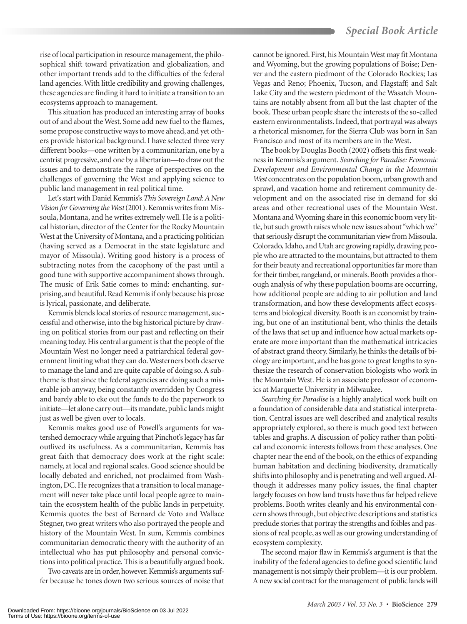rise of local participation in resource management, the philosophical shift toward privatization and globalization, and other important trends add to the difficulties of the federal land agencies. With little credibility and growing challenges, these agencies are finding it hard to initiate a transition to an ecosystems approach to management.

This situation has produced an interesting array of books out of and about the West. Some add new fuel to the flames, some propose constructive ways to move ahead, and yet others provide historical background. I have selected three very different books—one written by a communitarian, one by a centrist progressive, and one by a libertarian—to draw out the issues and to demonstrate the range of perspectives on the challenges of governing the West and applying science to public land management in real political time.

Let's start with Daniel Kemmis's *This Sovereign Land: A New Vision for Governing the West*(2001)*.*Kemmis writes from Missoula, Montana, and he writes extremely well. He is a political historian, director of the Center for the Rocky Mountain West at the University of Montana, and a practicing politician (having served as a Democrat in the state legislature and mayor of Missoula). Writing good history is a process of subtracting notes from the cacophony of the past until a good tune with supportive accompaniment shows through. The music of Erik Satie comes to mind: enchanting, surprising, and beautiful. Read Kemmis if only because his prose is lyrical, passionate, and deliberate.

Kemmis blends local stories of resource management, successful and otherwise, into the big historical picture by drawing on political stories from our past and reflecting on their meaning today. His central argument is that the people of the Mountain West no longer need a patriarchical federal government limiting what they can do. Westerners both deserve to manage the land and are quite capable of doing so. A subtheme is that since the federal agencies are doing such a miserable job anyway, being constantly overridden by Congress and barely able to eke out the funds to do the paperwork to initiate—let alone carry out—its mandate, public lands might just as well be given over to locals.

Kemmis makes good use of Powell's arguments for watershed democracy while arguing that Pinchot's legacy has far outlived its usefulness. As a communitarian, Kemmis has great faith that democracy does work at the right scale: namely, at local and regional scales. Good science should be locally debated and enriched, not proclaimed from Washington, DC. He recognizes that a transition to local management will never take place until local people agree to maintain the ecosystem health of the public lands in perpetuity. Kemmis quotes the best of Bernard de Voto and Wallace Stegner, two great writers who also portrayed the people and history of the Mountain West. In sum, Kemmis combines communitarian democratic theory with the authority of an intellectual who has put philosophy and personal convictions into political practice. This is a beautifully argued book.

Two caveats are in order, however. Kemmis's arguments suffer because he tones down two serious sources of noise that

cannot be ignored. First, his Mountain West may fit Montana and Wyoming, but the growing populations of Boise; Denver and the eastern piedmont of the Colorado Rockies; Las Vegas and Reno; Phoenix, Tucson, and Flagstaff; and Salt Lake City and the western piedmont of the Wasatch Mountains are notably absent from all but the last chapter of the book. These urban people share the interests of the so-called eastern environmentalists. Indeed, that portrayal was always a rhetorical misnomer, for the Sierra Club was born in San Francisco and most of its members are in the West.

The book by Douglas Booth (2002) offsets this first weakness in Kemmis's argument. *Searching for Paradise: Economic Development and Environmental Change in the Mountain West* concentrates on the population boom, urban growth and sprawl, and vacation home and retirement community development and on the associated rise in demand for ski areas and other recreational uses of the Mountain West. Montana and Wyoming share in this economic boom very little, but such growth raises whole new issues about "which we" that seriously disrupt the communitarian view from Missoula. Colorado, Idaho, and Utah are growing rapidly, drawing people who are attracted to the mountains, but attracted to them for their beauty and recreational opportunities far more than for their timber, rangeland, or minerals. Booth provides a thorough analysis of why these population booms are occurring, how additional people are adding to air pollution and land transformation, and how these developments affect ecosystems and biological diversity. Booth is an economist by training, but one of an institutional bent, who thinks the details of the laws that set up and influence how actual markets operate are more important than the mathematical intricacies of abstract grand theory. Similarly, he thinks the details of biology are important, and he has gone to great lengths to synthesize the research of conservation biologists who work in the Mountain West. He is an associate professor of economics at Marquette University in Milwaukee.

*Searching for Paradise* is a highly analytical work built on a foundation of considerable data and statistical interpretation. Central issues are well described and analytical results appropriately explored, so there is much good text between tables and graphs. A discussion of policy rather than political and economic interests follows from these analyses. One chapter near the end of the book, on the ethics of expanding human habitation and declining biodiversity, dramatically shifts into philosophy and is penetrating and well argued. Although it addresses many policy issues, the final chapter largely focuses on how land trusts have thus far helped relieve problems. Booth writes cleanly and his environmental concern shows through, but objective descriptions and statistics preclude stories that portray the strengths and foibles and passions of real people, as well as our growing understanding of ecosystem complexity.

The second major flaw in Kemmis's argument is that the inability of the federal agencies to define good scientific land management is not simply their problem—it is our problem. A new social contract for the management of public lands will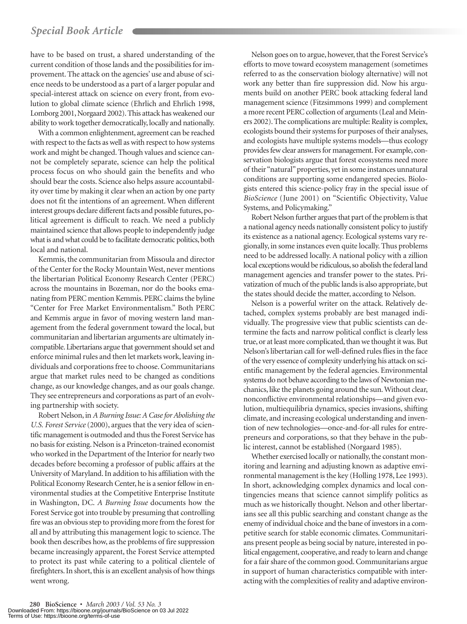## *Special Book Article*

have to be based on trust, a shared understanding of the current condition of those lands and the possibilities for improvement. The attack on the agencies' use and abuse of science needs to be understood as a part of a larger popular and special-interest attack on science on every front, from evolution to global climate science (Ehrlich and Ehrlich 1998, Lomborg 2001, Norgaard 2002). This attack has weakened our ability to work together democratically, locally and nationally.

With a common enlightenment, agreement can be reached with respect to the facts as well as with respect to how systems work and might be changed. Though values and science cannot be completely separate, science can help the political process focus on who should gain the benefits and who should bear the costs. Science also helps assure accountability over time by making it clear when an action by one party does not fit the intentions of an agreement. When different interest groups declare different facts and possible futures, political agreement is difficult to reach. We need a publicly maintained science that allows people to independently judge what is and what could be to facilitate democratic politics, both local and national.

Kemmis, the communitarian from Missoula and director of the Center for the Rocky Mountain West, never mentions the libertarian Political Economy Research Center (PERC) across the mountains in Bozeman, nor do the books emanating from PERC mention Kemmis. PERC claims the byline "Center for Free Market Environmentalism." Both PERC and Kemmis argue in favor of moving western land management from the federal government toward the local, but communitarian and libertarian arguments are ultimately incompatible. Libertarians argue that government should set and enforce minimal rules and then let markets work, leaving individuals and corporations free to choose. Communitarians argue that market rules need to be changed as conditions change, as our knowledge changes, and as our goals change. They see entrepreneurs and corporations as part of an evolving partnership with society.

Robert Nelson, in *A Burning Issue: A Case for Abolishing the U.S. Forest Service* (2000), argues that the very idea of scientific management is outmoded and thus the Forest Service has no basis for existing. Nelson is a Princeton-trained economist who worked in the Department of the Interior for nearly two decades before becoming a professor of public affairs at the University of Maryland. In addition to his affiliation with the Political Economy Research Center, he is a senior fellow in environmental studies at the Competitive Enterprise Institute in Washington, DC. *A Burning Issue* documents how the Forest Service got into trouble by presuming that controlling fire was an obvious step to providing more from the forest for all and by attributing this management logic to science. The book then describes how, as the problems of fire suppression became increasingly apparent, the Forest Service attempted to protect its past while catering to a political clientele of firefighters. In short, this is an excellent analysis of how things went wrong.

Nelson goes on to argue, however, that the Forest Service's efforts to move toward ecosystem management (sometimes referred to as the conservation biology alternative) will not work any better than fire suppression did. Now his arguments build on another PERC book attacking federal land management science (Fitzsimmons 1999) and complement a more recent PERC collection of arguments (Leal and Meiners 2002). The complications are multiple: Reality is complex, ecologists bound their systems for purposes of their analyses, and ecologists have multiple systems models—thus ecology provides few clear answers for management. For example, conservation biologists argue that forest ecosystems need more of their "natural"properties, yet in some instances unnatural conditions are supporting some endangered species. Biologists entered this science-policy fray in the special issue of *BioScience* (June 2001) on "Scientific Objectivity, Value Systems, and Policymaking."

Robert Nelson further argues that part of the problem is that a national agency needs nationally consistent policy to justify its existence as a national agency. Ecological systems vary regionally, in some instances even quite locally. Thus problems need to be addressed locally. A national policy with a zillion local exceptions would be ridiculous, so abolish the federal land management agencies and transfer power to the states. Privatization of much of the public lands is also appropriate, but the states should decide the matter, according to Nelson.

Nelson is a powerful writer on the attack. Relatively detached, complex systems probably are best managed individually. The progressive view that public scientists can determine the facts and narrow political conflict is clearly less true, or at least more complicated, than we thought it was. But Nelson's libertarian call for well-defined rules flies in the face of the very essence of complexity underlying his attack on scientific management by the federal agencies. Environmental systems do not behave according to the laws of Newtonian mechanics, like the planets going around the sun. Without clear, nonconflictive environmental relationships—and given evolution, multiequilibria dynamics, species invasions, shifting climate, and increasing ecological understanding and invention of new technologies—once-and-for-all rules for entrepreneurs and corporations, so that they behave in the public interest, cannot be established (Norgaard 1985).

Whether exercised locally or nationally, the constant monitoring and learning and adjusting known as adaptive environmental management is the key (Holling 1978, Lee 1993). In short, acknowledging complex dynamics and local contingencies means that science cannot simplify politics as much as we historically thought. Nelson and other libertarians see all this public searching and constant change as the enemy of individual choice and the bane of investors in a competitive search for stable economic climates. Communitarians present people as being social by nature, interested in political engagement, cooperative, and ready to learn and change for a fair share of the common good. Communitarians argue in support of human characteristics compatible with interacting with the complexities of reality and adaptive environ-